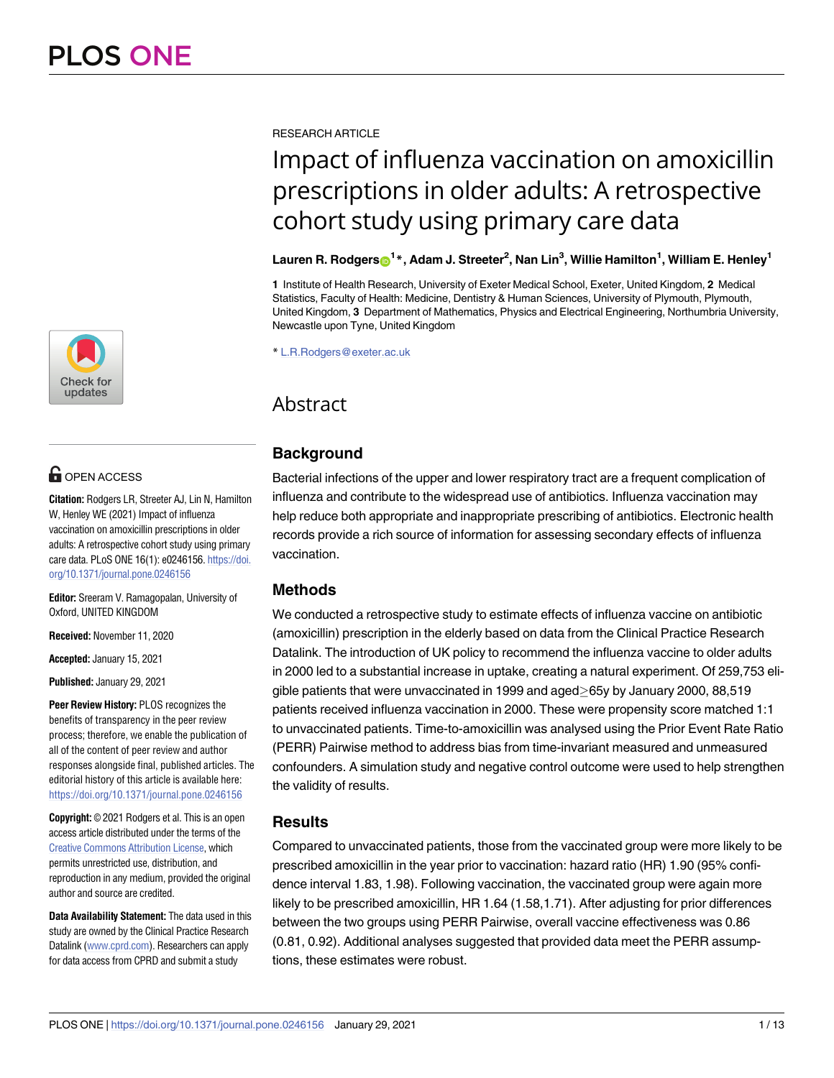

# **OPEN ACCESS**

**Citation:** Rodgers LR, Streeter AJ, Lin N, Hamilton W, Henley WE (2021) Impact of influenza vaccination on amoxicillin prescriptions in older adults: A retrospective cohort study using primary care data. PLoS ONE 16(1): e0246156. [https://doi.](https://doi.org/10.1371/journal.pone.0246156) [org/10.1371/journal.pone.0246156](https://doi.org/10.1371/journal.pone.0246156)

**Editor:** Sreeram V. Ramagopalan, University of Oxford, UNITED KINGDOM

**Received:** November 11, 2020

**Accepted:** January 15, 2021

**Published:** January 29, 2021

**Peer Review History:** PLOS recognizes the benefits of transparency in the peer review process; therefore, we enable the publication of all of the content of peer review and author responses alongside final, published articles. The editorial history of this article is available here: <https://doi.org/10.1371/journal.pone.0246156>

**Copyright:** © 2021 Rodgers et al. This is an open access article distributed under the terms of the Creative Commons [Attribution](http://creativecommons.org/licenses/by/4.0/) License, which permits unrestricted use, distribution, and reproduction in any medium, provided the original author and source are credited.

**Data Availability Statement:** The data used in this study are owned by the Clinical Practice Research Datalink [\(www.cprd.com](http://www.cprd.com)). Researchers can apply for data access from CPRD and submit a study

RESEARCH ARTICLE

# Impact of influenza vaccination on amoxicillin prescriptions in older adults: A retrospective cohort study using primary care data

## Lauren R. Rodgers $\odot$ <sup>1</sup>\*, Adam J. Streeter<sup>2</sup>, Nan Lin<sup>3</sup>, Willie Hamilton<sup>1</sup>, William E. Henley<sup>1</sup>

**1** Institute of Health Research, University of Exeter Medical School, Exeter, United Kingdom, **2** Medical Statistics, Faculty of Health: Medicine, Dentistry & Human Sciences, University of Plymouth, Plymouth, United Kingdom, **3** Department of Mathematics, Physics and Electrical Engineering, Northumbria University, Newcastle upon Tyne, United Kingdom

\* L.R.Rodgers@exeter.ac.uk

# Abstract

# **Background**

Bacterial infections of the upper and lower respiratory tract are a frequent complication of influenza and contribute to the widespread use of antibiotics. Influenza vaccination may help reduce both appropriate and inappropriate prescribing of antibiotics. Electronic health records provide a rich source of information for assessing secondary effects of influenza vaccination.

# **Methods**

We conducted a retrospective study to estimate effects of influenza vaccine on antibiotic (amoxicillin) prescription in the elderly based on data from the Clinical Practice Research Datalink. The introduction of UK policy to recommend the influenza vaccine to older adults in 2000 led to a substantial increase in uptake, creating a natural experiment. Of 259,753 eligible patients that were unvaccinated in 1999 and aged >65y by January 2000, 88,519 patients received influenza vaccination in 2000. These were propensity score matched 1:1 to unvaccinated patients. Time-to-amoxicillin was analysed using the Prior Event Rate Ratio (PERR) Pairwise method to address bias from time-invariant measured and unmeasured confounders. A simulation study and negative control outcome were used to help strengthen the validity of results.

# **Results**

Compared to unvaccinated patients, those from the vaccinated group were more likely to be prescribed amoxicillin in the year prior to vaccination: hazard ratio (HR) 1.90 (95% confidence interval 1.83, 1.98). Following vaccination, the vaccinated group were again more likely to be prescribed amoxicillin, HR 1.64 (1.58,1.71). After adjusting for prior differences between the two groups using PERR Pairwise, overall vaccine effectiveness was 0.86 (0.81, 0.92). Additional analyses suggested that provided data meet the PERR assumptions, these estimates were robust.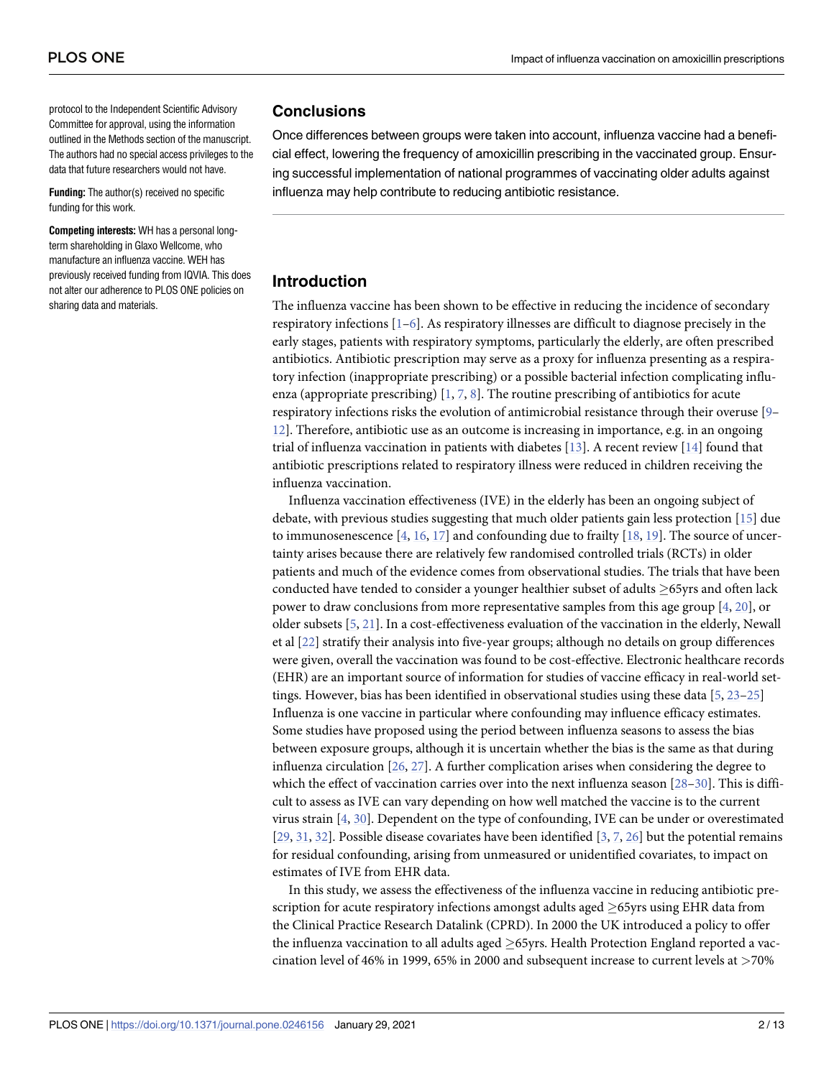<span id="page-1-0"></span>protocol to the Independent Scientific Advisory Committee for approval, using the information outlined in the Methods section of the manuscript. The authors had no special access privileges to the data that future researchers would not have.

**Funding:** The author(s) received no specific funding for this work.

**Competing interests:** WH has a personal longterm shareholding in Glaxo Wellcome, who manufacture an influenza vaccine. WEH has previously received funding from IQVIA. This does not alter our adherence to PLOS ONE policies on sharing data and materials.

#### **Conclusions**

Once differences between groups were taken into account, influenza vaccine had a beneficial effect, lowering the frequency of amoxicillin prescribing in the vaccinated group. Ensuring successful implementation of national programmes of vaccinating older adults against influenza may help contribute to reducing antibiotic resistance.

#### **Introduction**

The influenza vaccine has been shown to be effective in reducing the incidence of secondary respiratory infections  $[1-6]$ . As respiratory illnesses are difficult to diagnose precisely in the early stages, patients with respiratory symptoms, particularly the elderly, are often prescribed antibiotics. Antibiotic prescription may serve as a proxy for influenza presenting as a respiratory infection (inappropriate prescribing) or a possible bacterial infection complicating influenza (appropriate prescribing)  $[1, 7, 8]$  $[1, 7, 8]$  $[1, 7, 8]$  $[1, 7, 8]$  $[1, 7, 8]$  $[1, 7, 8]$ . The routine prescribing of antibiotics for acute respiratory infections risks the evolution of antimicrobial resistance through their overuse [\[9](#page-10-0)– [12\]](#page-10-0). Therefore, antibiotic use as an outcome is increasing in importance, e.g. in an ongoing trial of influenza vaccination in patients with diabetes [\[13](#page-10-0)]. A recent review [\[14\]](#page-10-0) found that antibiotic prescriptions related to respiratory illness were reduced in children receiving the influenza vaccination.

Influenza vaccination effectiveness (IVE) in the elderly has been an ongoing subject of debate, with previous studies suggesting that much older patients gain less protection [\[15\]](#page-10-0) due to immunosenescence  $[4, 16, 17]$  $[4, 16, 17]$  $[4, 16, 17]$  $[4, 16, 17]$  $[4, 16, 17]$  $[4, 16, 17]$  and confounding due to frailty  $[18, 19]$  $[18, 19]$  $[18, 19]$ . The source of uncertainty arises because there are relatively few randomised controlled trials (RCTs) in older patients and much of the evidence comes from observational studies. The trials that have been conducted have tended to consider a younger healthier subset of adults  $>65$ yrs and often lack power to draw conclusions from more representative samples from this age group [[4](#page-9-0), [20](#page-10-0)], or older subsets [[5,](#page-9-0) [21\]](#page-10-0). In a cost-effectiveness evaluation of the vaccination in the elderly, Newall et al [[22](#page-10-0)] stratify their analysis into five-year groups; although no details on group differences were given, overall the vaccination was found to be cost-effective. Electronic healthcare records (EHR) are an important source of information for studies of vaccine efficacy in real-world settings. However, bias has been identified in observational studies using these data [[5,](#page-9-0) [23](#page-10-0)–[25](#page-10-0)] Influenza is one vaccine in particular where confounding may influence efficacy estimates. Some studies have proposed using the period between influenza seasons to assess the bias between exposure groups, although it is uncertain whether the bias is the same as that during influenza circulation [[26](#page-10-0), [27](#page-10-0)]. A further complication arises when considering the degree to which the effect of vaccination carries over into the next influenza season [\[28–30\]](#page-11-0). This is difficult to assess as IVE can vary depending on how well matched the vaccine is to the current virus strain [\[4](#page-9-0), [30](#page-11-0)]. Dependent on the type of confounding, IVE can be under or overestimated [\[29,](#page-11-0) [31,](#page-11-0) [32\]](#page-11-0). Possible disease covariates have been identified [\[3,](#page-9-0) [7](#page-9-0), [26](#page-10-0)] but the potential remains for residual confounding, arising from unmeasured or unidentified covariates, to impact on estimates of IVE from EHR data.

In this study, we assess the effectiveness of the influenza vaccine in reducing antibiotic prescription for acute respiratory infections amongst adults aged  $>65$ yrs using EHR data from the Clinical Practice Research Datalink (CPRD). In 2000 the UK introduced a policy to offer the influenza vaccination to all adults aged  $\geq$ 65yrs. Health Protection England reported a vaccination level of 46% in 1999, 65% in 2000 and subsequent increase to current levels at *>*70%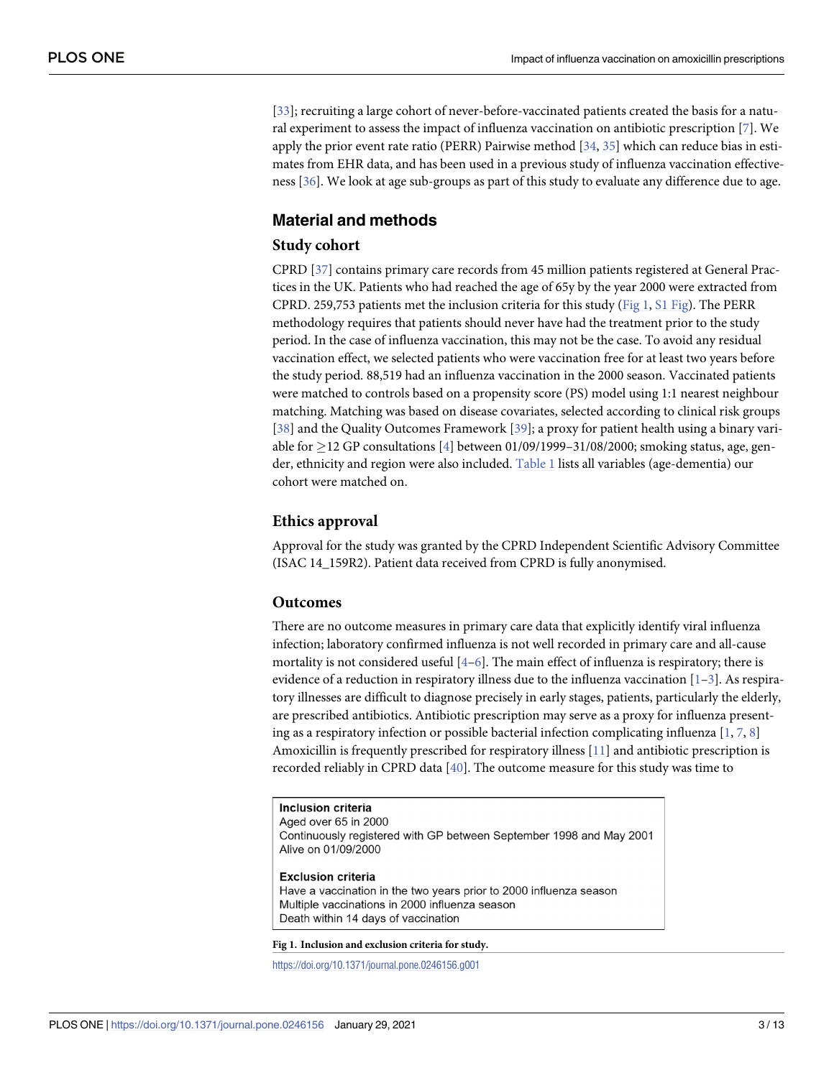<span id="page-2-0"></span>[\[33\]](#page-11-0); recruiting a large cohort of never-before-vaccinated patients created the basis for a natural experiment to assess the impact of influenza vaccination on antibiotic prescription [\[7](#page-9-0)]. We apply the prior event rate ratio (PERR) Pairwise method [\[34,](#page-11-0) [35\]](#page-11-0) which can reduce bias in estimates from EHR data, and has been used in a previous study of influenza vaccination effectiveness [[36](#page-11-0)]. We look at age sub-groups as part of this study to evaluate any difference due to age.

# **Material and methods**

#### **Study cohort**

CPRD [\[37\]](#page-11-0) contains primary care records from 45 million patients registered at General Practices in the UK. Patients who had reached the age of 65y by the year 2000 were extracted from CPRD. 259,753 patients met the inclusion criteria for this study (Fig 1, S1 [Fig](#page-8-0)). The PERR methodology requires that patients should never have had the treatment prior to the study period. In the case of influenza vaccination, this may not be the case. To avoid any residual vaccination effect, we selected patients who were vaccination free for at least two years before the study period. 88,519 had an influenza vaccination in the 2000 season. Vaccinated patients were matched to controls based on a propensity score (PS) model using 1:1 nearest neighbour matching. Matching was based on disease covariates, selected according to clinical risk groups [\[38\]](#page-11-0) and the Quality Outcomes Framework [[39](#page-11-0)]; a proxy for patient health using a binary variable for  $\geq$  12 GP consultations [\[4](#page-9-0)] between 01/09/1999-31/08/2000; smoking status, age, gen-der, ethnicity and region were also included. [Table](#page-3-0) 1 lists all variables (age-dementia) our cohort were matched on.

#### **Ethics approval**

Approval for the study was granted by the CPRD Independent Scientific Advisory Committee (ISAC 14\_159R2). Patient data received from CPRD is fully anonymised.

#### **Outcomes**

There are no outcome measures in primary care data that explicitly identify viral influenza infection; laboratory confirmed influenza is not well recorded in primary care and all-cause mortality is not considered useful [[4–6](#page-9-0)]. The main effect of influenza is respiratory; there is evidence of a reduction in respiratory illness due to the influenza vaccination  $[1-3]$ . As respiratory illnesses are difficult to diagnose precisely in early stages, patients, particularly the elderly, are prescribed antibiotics. Antibiotic prescription may serve as a proxy for influenza presenting as a respiratory infection or possible bacterial infection complicating influenza  $[1, 7, 8]$  $[1, 7, 8]$  $[1, 7, 8]$  $[1, 7, 8]$  $[1, 7, 8]$  $[1, 7, 8]$ Amoxicillin is frequently prescribed for respiratory illness [\[11\]](#page-10-0) and antibiotic prescription is recorded reliably in CPRD data [[40](#page-11-0)]. The outcome measure for this study was time to

Inclusion criteria Aged over 65 in 2000 Continuously registered with GP between September 1998 and May 2001 Alive on 01/09/2000 **Exclusion criteria** 

Have a vaccination in the two years prior to 2000 influenza season Multiple vaccinations in 2000 influenza season Death within 14 days of vaccination

**Fig 1. Inclusion and exclusion criteria for study.**

<https://doi.org/10.1371/journal.pone.0246156.g001>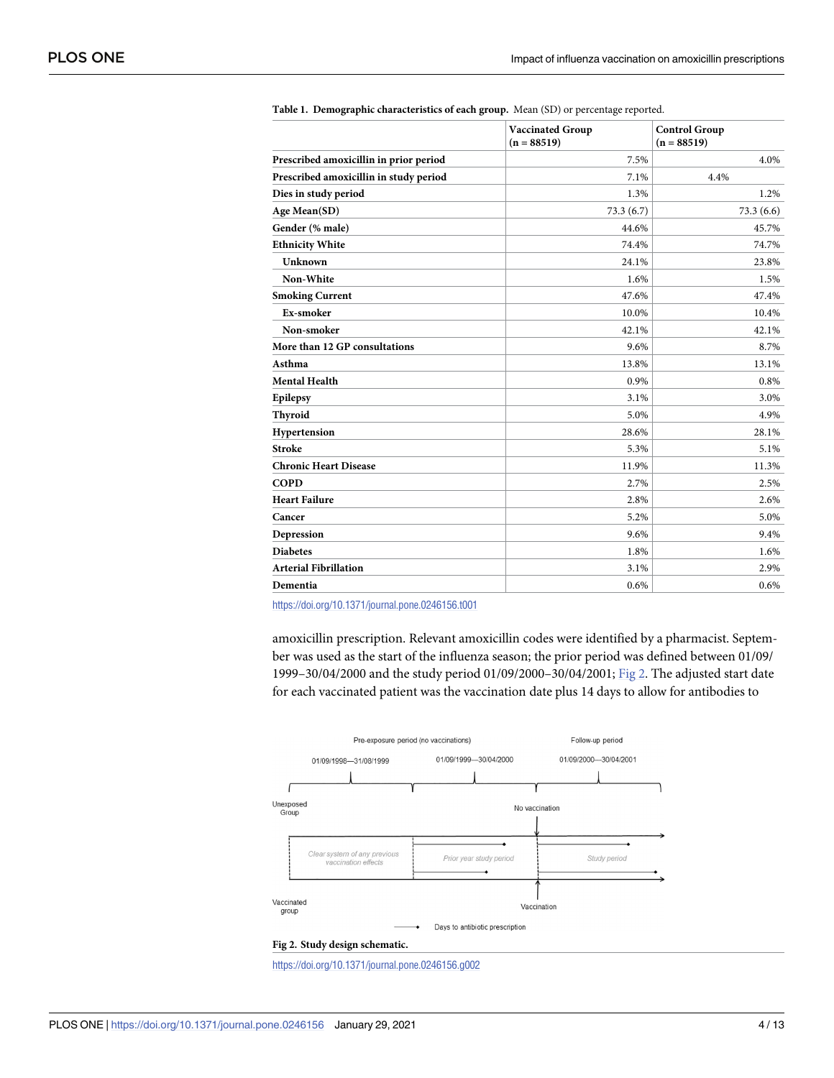<span id="page-3-0"></span>

|                                        | <b>Vaccinated Group</b><br>$(n = 88519)$ | <b>Control Group</b><br>$(n = 88519)$ |  |
|----------------------------------------|------------------------------------------|---------------------------------------|--|
| Prescribed amoxicillin in prior period | 7.5%                                     | 4.0%                                  |  |
| Prescribed amoxicillin in study period | 7.1%                                     | 4.4%                                  |  |
| Dies in study period                   | 1.3%                                     | 1.2%                                  |  |
| Age Mean(SD)                           | 73.3(6.7)                                | 73.3(6.6)                             |  |
| Gender (% male)                        | 44.6%                                    | 45.7%                                 |  |
| <b>Ethnicity White</b>                 | 74.4%                                    | 74.7%                                 |  |
| Unknown                                | 24.1%                                    | 23.8%                                 |  |
| Non-White                              | 1.6%                                     | 1.5%                                  |  |
| <b>Smoking Current</b>                 | 47.6%                                    | 47.4%                                 |  |
| Ex-smoker                              | 10.0%                                    | 10.4%                                 |  |
| Non-smoker                             | 42.1%                                    | 42.1%                                 |  |
| More than 12 GP consultations          | 9.6%                                     | 8.7%                                  |  |
| Asthma                                 | 13.8%                                    | 13.1%                                 |  |
| <b>Mental Health</b>                   | 0.9%                                     | 0.8%                                  |  |
| Epilepsy                               | 3.1%                                     | 3.0%                                  |  |
| Thyroid                                | 5.0%                                     | 4.9%                                  |  |
| Hypertension                           | 28.6%                                    | 28.1%                                 |  |
| <b>Stroke</b>                          | 5.3%                                     | 5.1%                                  |  |
| <b>Chronic Heart Disease</b>           | 11.9%                                    | 11.3%                                 |  |
| <b>COPD</b>                            | 2.7%                                     | 2.5%                                  |  |
| <b>Heart Failure</b>                   | 2.8%                                     | 2.6%                                  |  |
| Cancer                                 | 5.2%                                     | 5.0%                                  |  |
| Depression                             | 9.6%                                     | 9.4%                                  |  |
| <b>Diabetes</b>                        | 1.8%                                     | 1.6%                                  |  |
| <b>Arterial Fibrillation</b>           | 3.1%                                     | 2.9%                                  |  |
| Dementia                               | 0.6%                                     | 0.6%                                  |  |

|  |  | Table 1. Demographic characteristics of each group. Mean (SD) or percentage reported. |  |  |  |  |  |
|--|--|---------------------------------------------------------------------------------------|--|--|--|--|--|
|--|--|---------------------------------------------------------------------------------------|--|--|--|--|--|

<https://doi.org/10.1371/journal.pone.0246156.t001>

amoxicillin prescription. Relevant amoxicillin codes were identified by a pharmacist. September was used as the start of the influenza season; the prior period was defined between 01/09/ 1999–30/04/2000 and the study period 01/09/2000–30/04/2001; Fig 2. The adjusted start date for each vaccinated patient was the vaccination date plus 14 days to allow for antibodies to



<https://doi.org/10.1371/journal.pone.0246156.g002>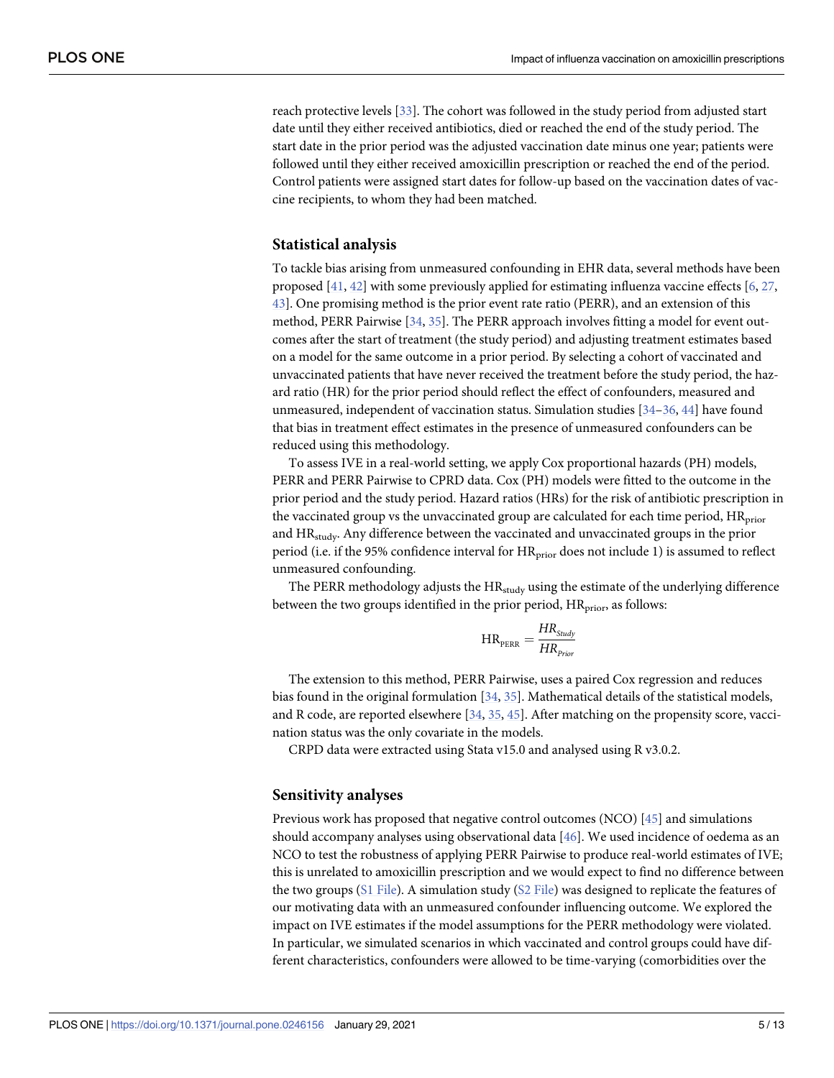<span id="page-4-0"></span>reach protective levels [\[33\]](#page-11-0). The cohort was followed in the study period from adjusted start date until they either received antibiotics, died or reached the end of the study period. The start date in the prior period was the adjusted vaccination date minus one year; patients were followed until they either received amoxicillin prescription or reached the end of the period. Control patients were assigned start dates for follow-up based on the vaccination dates of vaccine recipients, to whom they had been matched.

#### **Statistical analysis**

To tackle bias arising from unmeasured confounding in EHR data, several methods have been proposed  $[41, 42]$  $[41, 42]$  $[41, 42]$  $[41, 42]$  $[41, 42]$  with some previously applied for estimating influenza vaccine effects  $[6, 27, 12]$  $[6, 27, 12]$  $[6, 27, 12]$  $[6, 27, 12]$ [43\]](#page-11-0). One promising method is the prior event rate ratio (PERR), and an extension of this method, PERR Pairwise [[34](#page-11-0), [35](#page-11-0)]. The PERR approach involves fitting a model for event outcomes after the start of treatment (the study period) and adjusting treatment estimates based on a model for the same outcome in a prior period. By selecting a cohort of vaccinated and unvaccinated patients that have never received the treatment before the study period, the hazard ratio (HR) for the prior period should reflect the effect of confounders, measured and unmeasured, independent of vaccination status. Simulation studies [[34](#page-11-0)–[36](#page-11-0), [44](#page-11-0)] have found that bias in treatment effect estimates in the presence of unmeasured confounders can be reduced using this methodology.

To assess IVE in a real-world setting, we apply Cox proportional hazards (PH) models, PERR and PERR Pairwise to CPRD data. Cox (PH) models were fitted to the outcome in the prior period and the study period. Hazard ratios (HRs) for the risk of antibiotic prescription in the vaccinated group vs the unvaccinated group are calculated for each time period,  $HR<sub>prior</sub>$ and HR<sub>study</sub>. Any difference between the vaccinated and unvaccinated groups in the prior period (i.e. if the 95% confidence interval for HR<sub>prior</sub> does not include 1) is assumed to reflect unmeasured confounding.

The PERR methodology adjusts the HR<sub>study</sub> using the estimate of the underlying difference between the two groups identified in the prior period, HR<sub>prior</sub>, as follows:

$$
\text{HR}_{\text{PERR}} = \frac{\text{HR}_{\text{Study}}}{\text{HR}_{\text{Prior}}}
$$

The extension to this method, PERR Pairwise, uses a paired Cox regression and reduces bias found in the original formulation [\[34,](#page-11-0) [35\]](#page-11-0). Mathematical details of the statistical models, and R code, are reported elsewhere [[34](#page-11-0), [35,](#page-11-0) [45\]](#page-11-0). After matching on the propensity score, vaccination status was the only covariate in the models.

CRPD data were extracted using Stata v15.0 and analysed using R v3.0.2.

#### **Sensitivity analyses**

Previous work has proposed that negative control outcomes (NCO) [[45](#page-11-0)] and simulations should accompany analyses using observational data [\[46\]](#page-11-0). We used incidence of oedema as an NCO to test the robustness of applying PERR Pairwise to produce real-world estimates of IVE; this is unrelated to amoxicillin prescription and we would expect to find no difference between the two groups (S1 [File](#page-9-0)). A simulation study (S2 [File\)](#page-9-0) was designed to replicate the features of our motivating data with an unmeasured confounder influencing outcome. We explored the impact on IVE estimates if the model assumptions for the PERR methodology were violated. In particular, we simulated scenarios in which vaccinated and control groups could have different characteristics, confounders were allowed to be time-varying (comorbidities over the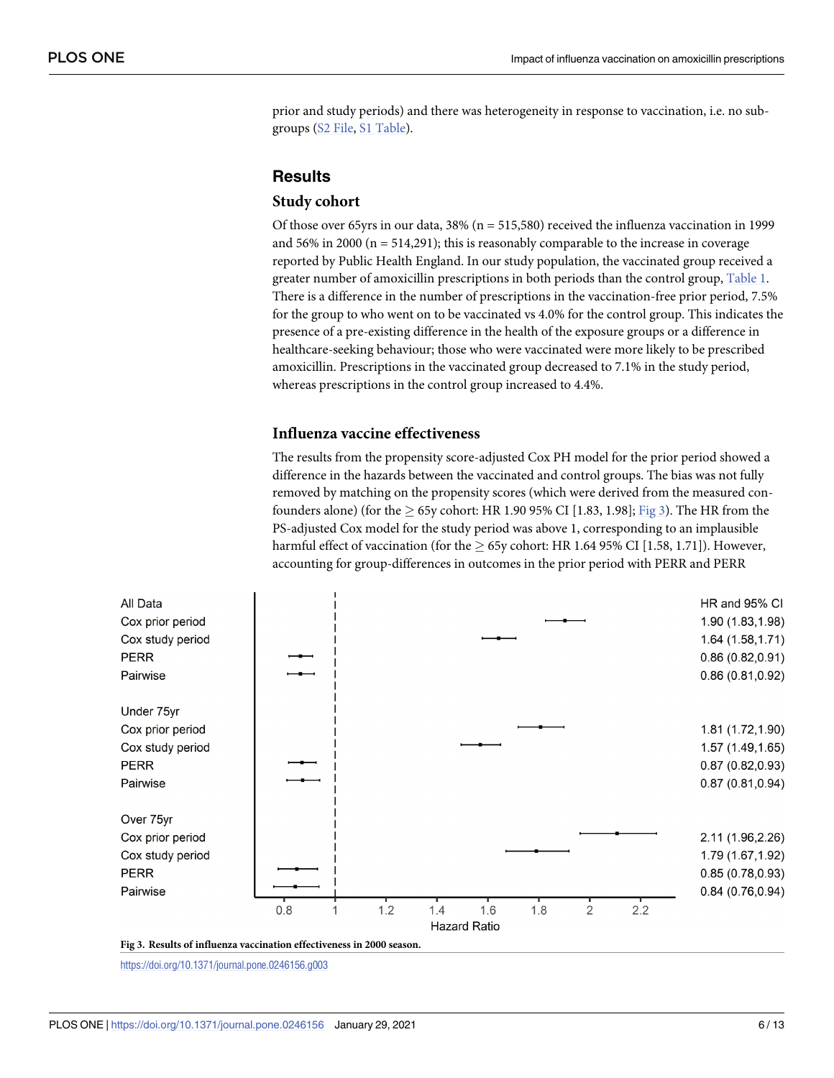<span id="page-5-0"></span>prior and study periods) and there was heterogeneity in response to vaccination, i.e. no subgroups (S2 [File](#page-9-0), S1 [Table\)](#page-9-0).

# **Results**

#### **Study cohort**

Of those over 65yrs in our data,  $38\%$  (n = 515,580) received the influenza vaccination in 1999 and 56% in 2000 ( $n = 514,291$ ); this is reasonably comparable to the increase in coverage reported by Public Health England. In our study population, the vaccinated group received a greater number of amoxicillin prescriptions in both periods than the control group, [Table](#page-3-0) 1. There is a difference in the number of prescriptions in the vaccination-free prior period, 7.5% for the group to who went on to be vaccinated vs 4.0% for the control group. This indicates the presence of a pre-existing difference in the health of the exposure groups or a difference in healthcare-seeking behaviour; those who were vaccinated were more likely to be prescribed amoxicillin. Prescriptions in the vaccinated group decreased to 7.1% in the study period, whereas prescriptions in the control group increased to 4.4%.

# **Influenza vaccine effectiveness**

The results from the propensity score-adjusted Cox PH model for the prior period showed a difference in the hazards between the vaccinated and control groups. The bias was not fully removed by matching on the propensity scores (which were derived from the measured confounders alone) (for the  $\geq$  65y cohort: HR 1.90 95% CI [1.83, 1.98]; Fig 3). The HR from the PS-adjusted Cox model for the study period was above 1, corresponding to an implausible harmful effect of vaccination (for the  $\geq$  65y cohort: HR 1.64 95% CI [1.58, 1.71]). However, accounting for group-differences in outcomes in the prior period with PERR and PERR



**Fig 3. Results of influenza vaccination effectiveness in 2000 season.**

<https://doi.org/10.1371/journal.pone.0246156.g003>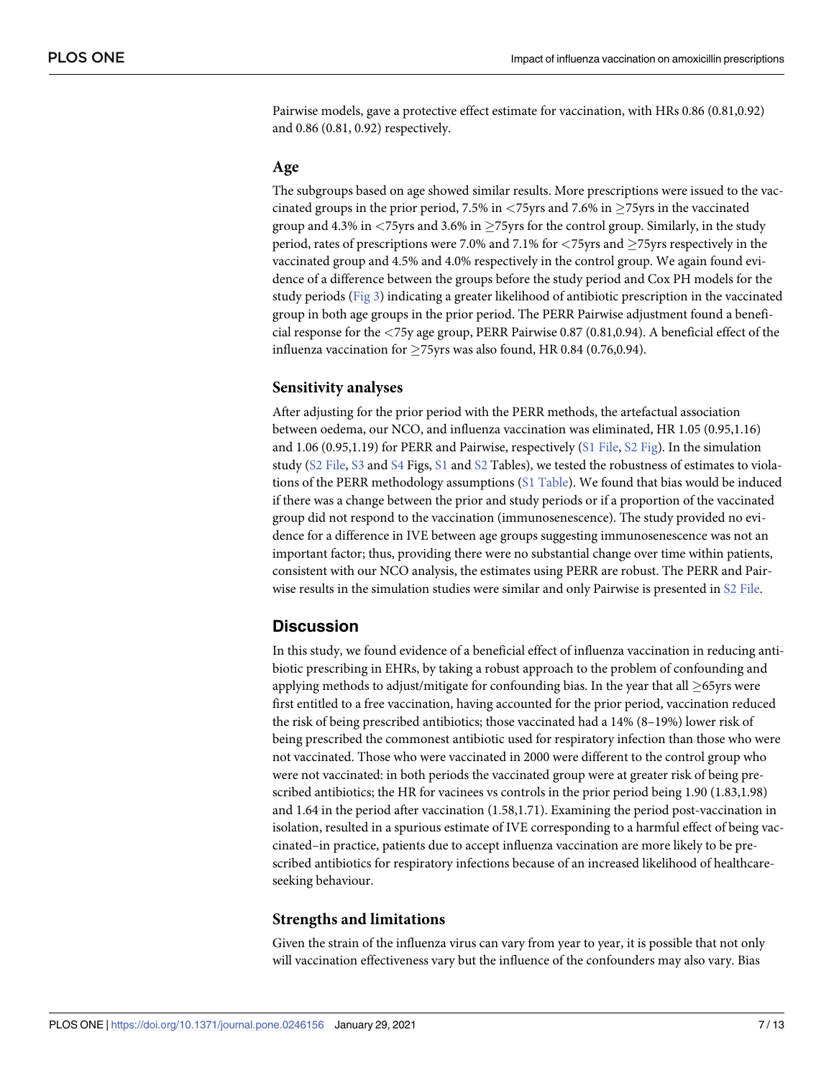Pairwise models, gave a protective effect estimate for vaccination, with HRs 0.86 (0.81,0.92) and 0.86 (0.81, 0.92) respectively.

#### **Age**

The subgroups based on age showed similar results. More prescriptions were issued to the vaccinated groups in the prior period, 7.5% in  $\langle 75 \rangle$ yrs and 7.6% in  $\geq$ 75yrs in the vaccinated group and 4.3% in *<*75yrs and 3.6% in �75yrs for the control group. Similarly, in the study period, rates of prescriptions were 7.0% and 7.1% for *<*75yrs and �75yrs respectively in the vaccinated group and 4.5% and 4.0% respectively in the control group. We again found evidence of a difference between the groups before the study period and Cox PH models for the study periods [\(Fig](#page-5-0) 3) indicating a greater likelihood of antibiotic prescription in the vaccinated group in both age groups in the prior period. The PERR Pairwise adjustment found a beneficial response for the *<*75y age group, PERR Pairwise 0.87 (0.81,0.94). A beneficial effect of the influenza vaccination for  $\geq$ 75yrs was also found, HR 0.84 (0.76,0.94).

#### **Sensitivity analyses**

After adjusting for the prior period with the PERR methods, the artefactual association between oedema, our NCO, and influenza vaccination was eliminated, HR 1.05 (0.95,1.16) and 1.06 (0.95,1.19) for PERR and Pairwise, respectively (S1 [File](#page-9-0), S2 [Fig\)](#page-8-0). In the simulation study (S2 [File,](#page-9-0) [S3](#page-8-0) and [S4](#page-8-0) Figs, [S1](#page-9-0) and [S2](#page-9-0) Tables), we tested the robustness of estimates to violations of the PERR methodology assumptions (S1 [Table](#page-9-0)). We found that bias would be induced if there was a change between the prior and study periods or if a proportion of the vaccinated group did not respond to the vaccination (immunosenescence). The study provided no evidence for a difference in IVE between age groups suggesting immunosenescence was not an important factor; thus, providing there were no substantial change over time within patients, consistent with our NCO analysis, the estimates using PERR are robust. The PERR and Pairwise results in the simulation studies were similar and only Pairwise is presented in S2 [File.](#page-9-0)

## **Discussion**

In this study, we found evidence of a beneficial effect of influenza vaccination in reducing antibiotic prescribing in EHRs, by taking a robust approach to the problem of confounding and applying methods to adjust/mitigate for confounding bias. In the year that all  $\geq$ 65yrs were first entitled to a free vaccination, having accounted for the prior period, vaccination reduced the risk of being prescribed antibiotics; those vaccinated had a 14% (8–19%) lower risk of being prescribed the commonest antibiotic used for respiratory infection than those who were not vaccinated. Those who were vaccinated in 2000 were different to the control group who were not vaccinated: in both periods the vaccinated group were at greater risk of being prescribed antibiotics; the HR for vacinees vs controls in the prior period being 1.90 (1.83,1.98) and 1.64 in the period after vaccination (1.58,1.71). Examining the period post-vaccination in isolation, resulted in a spurious estimate of IVE corresponding to a harmful effect of being vaccinated–in practice, patients due to accept influenza vaccination are more likely to be prescribed antibiotics for respiratory infections because of an increased likelihood of healthcareseeking behaviour.

#### **Strengths and limitations**

Given the strain of the influenza virus can vary from year to year, it is possible that not only will vaccination effectiveness vary but the influence of the confounders may also vary. Bias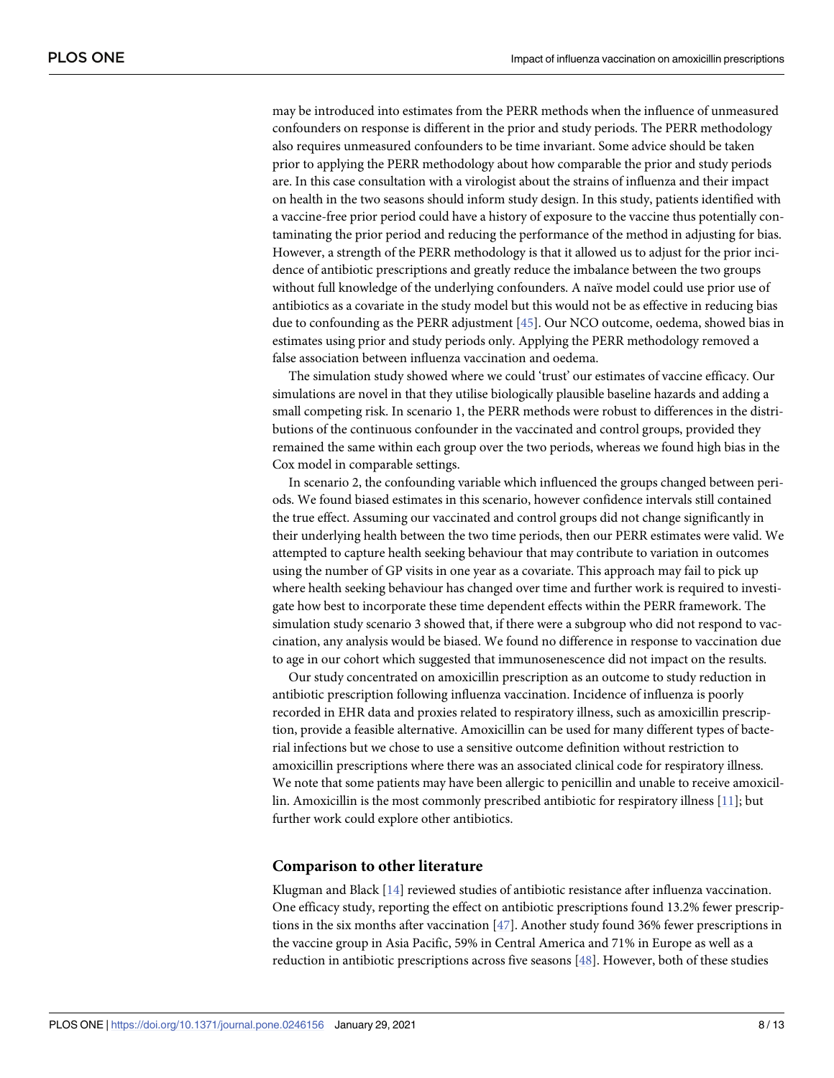<span id="page-7-0"></span>may be introduced into estimates from the PERR methods when the influence of unmeasured confounders on response is different in the prior and study periods. The PERR methodology also requires unmeasured confounders to be time invariant. Some advice should be taken prior to applying the PERR methodology about how comparable the prior and study periods are. In this case consultation with a virologist about the strains of influenza and their impact on health in the two seasons should inform study design. In this study, patients identified with a vaccine-free prior period could have a history of exposure to the vaccine thus potentially contaminating the prior period and reducing the performance of the method in adjusting for bias. However, a strength of the PERR methodology is that it allowed us to adjust for the prior incidence of antibiotic prescriptions and greatly reduce the imbalance between the two groups without full knowledge of the underlying confounders. A naïve model could use prior use of antibiotics as a covariate in the study model but this would not be as effective in reducing bias due to confounding as the PERR adjustment [\[45\]](#page-11-0). Our NCO outcome, oedema, showed bias in estimates using prior and study periods only. Applying the PERR methodology removed a false association between influenza vaccination and oedema.

The simulation study showed where we could 'trust' our estimates of vaccine efficacy. Our simulations are novel in that they utilise biologically plausible baseline hazards and adding a small competing risk. In scenario 1, the PERR methods were robust to differences in the distributions of the continuous confounder in the vaccinated and control groups, provided they remained the same within each group over the two periods, whereas we found high bias in the Cox model in comparable settings.

In scenario 2, the confounding variable which influenced the groups changed between periods. We found biased estimates in this scenario, however confidence intervals still contained the true effect. Assuming our vaccinated and control groups did not change significantly in their underlying health between the two time periods, then our PERR estimates were valid. We attempted to capture health seeking behaviour that may contribute to variation in outcomes using the number of GP visits in one year as a covariate. This approach may fail to pick up where health seeking behaviour has changed over time and further work is required to investigate how best to incorporate these time dependent effects within the PERR framework. The simulation study scenario 3 showed that, if there were a subgroup who did not respond to vaccination, any analysis would be biased. We found no difference in response to vaccination due to age in our cohort which suggested that immunosenescence did not impact on the results.

Our study concentrated on amoxicillin prescription as an outcome to study reduction in antibiotic prescription following influenza vaccination. Incidence of influenza is poorly recorded in EHR data and proxies related to respiratory illness, such as amoxicillin prescription, provide a feasible alternative. Amoxicillin can be used for many different types of bacterial infections but we chose to use a sensitive outcome definition without restriction to amoxicillin prescriptions where there was an associated clinical code for respiratory illness. We note that some patients may have been allergic to penicillin and unable to receive amoxicillin. Amoxicillin is the most commonly prescribed antibiotic for respiratory illness [[11](#page-10-0)]; but further work could explore other antibiotics.

#### **Comparison to other literature**

Klugman and Black [\[14\]](#page-10-0) reviewed studies of antibiotic resistance after influenza vaccination. One efficacy study, reporting the effect on antibiotic prescriptions found 13.2% fewer prescriptions in the six months after vaccination [\[47\]](#page-11-0). Another study found 36% fewer prescriptions in the vaccine group in Asia Pacific, 59% in Central America and 71% in Europe as well as a reduction in antibiotic prescriptions across five seasons [\[48\]](#page-12-0). However, both of these studies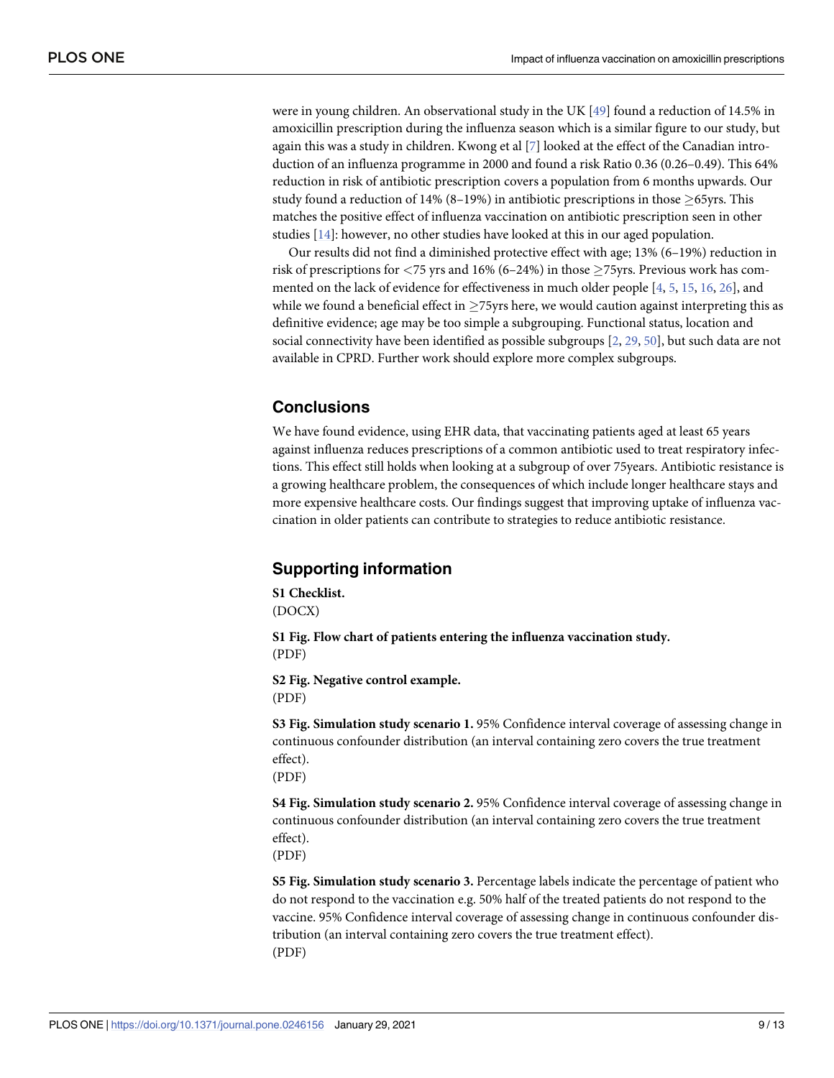<span id="page-8-0"></span>were in young children. An observational study in the UK [[49](#page-12-0)] found a reduction of 14.5% in amoxicillin prescription during the influenza season which is a similar figure to our study, but again this was a study in children. Kwong et al [[7\]](#page-9-0) looked at the effect of the Canadian introduction of an influenza programme in 2000 and found a risk Ratio 0.36 (0.26–0.49). This 64% reduction in risk of antibiotic prescription covers a population from 6 months upwards. Our study found a reduction of 14% (8–19%) in antibiotic prescriptions in those  $\geq$ 65yrs. This matches the positive effect of influenza vaccination on antibiotic prescription seen in other studies [\[14\]](#page-10-0): however, no other studies have looked at this in our aged population.

Our results did not find a diminished protective effect with age; 13% (6–19%) reduction in risk of prescriptions for *<*75 yrs and 16% (6–24%) in those �75yrs. Previous work has commented on the lack of evidence for effectiveness in much older people [[4,](#page-9-0) [5,](#page-9-0) [15,](#page-10-0) [16,](#page-10-0) [26\]](#page-10-0), and while we found a beneficial effect in  $\geq$ 75yrs here, we would caution against interpreting this as definitive evidence; age may be too simple a subgrouping. Functional status, location and social connectivity have been identified as possible subgroups [[2](#page-9-0), [29](#page-11-0), [50](#page-12-0)], but such data are not available in CPRD. Further work should explore more complex subgroups.

# **Conclusions**

We have found evidence, using EHR data, that vaccinating patients aged at least 65 years against influenza reduces prescriptions of a common antibiotic used to treat respiratory infections. This effect still holds when looking at a subgroup of over 75years. Antibiotic resistance is a growing healthcare problem, the consequences of which include longer healthcare stays and more expensive healthcare costs. Our findings suggest that improving uptake of influenza vaccination in older patients can contribute to strategies to reduce antibiotic resistance.

# **Supporting information**

**S1 [Checklist.](http://www.plosone.org/article/fetchSingleRepresentation.action?uri=info:doi/10.1371/journal.pone.0246156.s001)** (DOCX)

**S1 [Fig](http://www.plosone.org/article/fetchSingleRepresentation.action?uri=info:doi/10.1371/journal.pone.0246156.s002). Flow chart of patients entering the influenza vaccination study.** (PDF)

**S2 [Fig](http://www.plosone.org/article/fetchSingleRepresentation.action?uri=info:doi/10.1371/journal.pone.0246156.s003). Negative control example.** (PDF)

**S3 [Fig](http://www.plosone.org/article/fetchSingleRepresentation.action?uri=info:doi/10.1371/journal.pone.0246156.s004). Simulation study scenario 1.** 95% Confidence interval coverage of assessing change in continuous confounder distribution (an interval containing zero covers the true treatment effect).

(PDF)

**S4 [Fig](http://www.plosone.org/article/fetchSingleRepresentation.action?uri=info:doi/10.1371/journal.pone.0246156.s005). Simulation study scenario 2.** 95% Confidence interval coverage of assessing change in continuous confounder distribution (an interval containing zero covers the true treatment effect).

(PDF)

**S5 [Fig](http://www.plosone.org/article/fetchSingleRepresentation.action?uri=info:doi/10.1371/journal.pone.0246156.s006). Simulation study scenario 3.** Percentage labels indicate the percentage of patient who do not respond to the vaccination e.g. 50% half of the treated patients do not respond to the vaccine. 95% Confidence interval coverage of assessing change in continuous confounder distribution (an interval containing zero covers the true treatment effect). (PDF)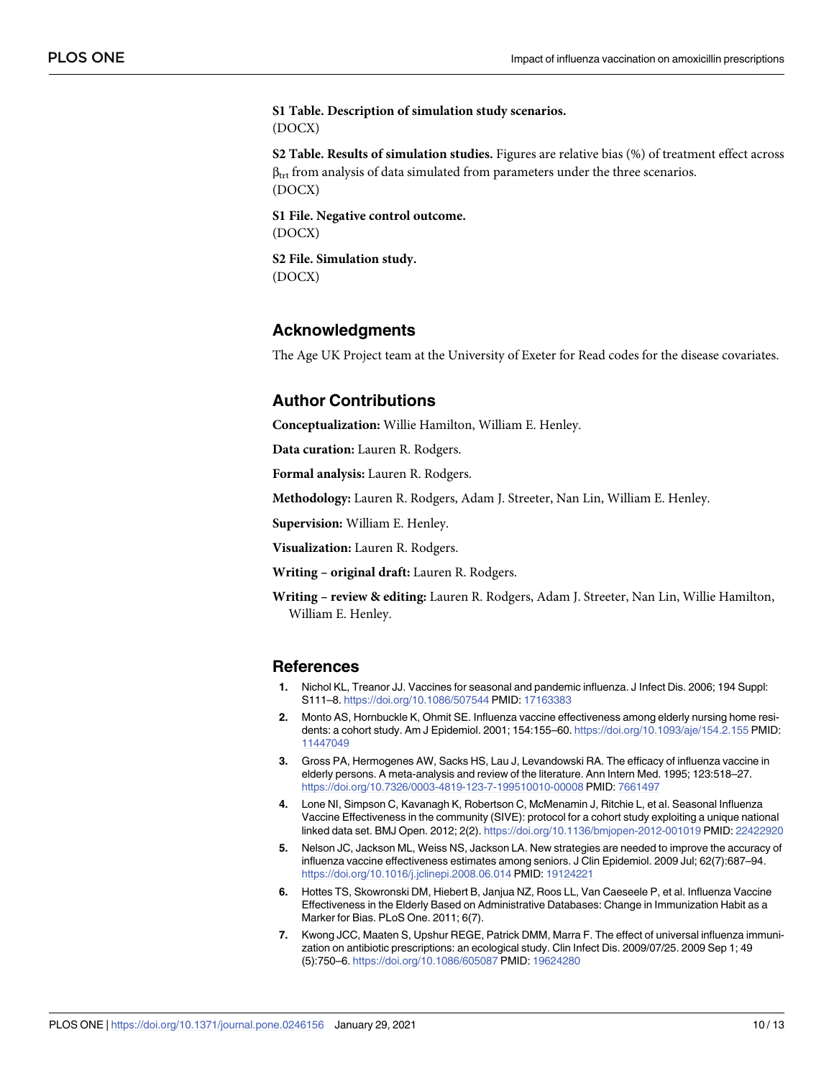<span id="page-9-0"></span>**S1 [Table.](http://www.plosone.org/article/fetchSingleRepresentation.action?uri=info:doi/10.1371/journal.pone.0246156.s007) Description of simulation study scenarios.** (DOCX)

**S2 [Table.](http://www.plosone.org/article/fetchSingleRepresentation.action?uri=info:doi/10.1371/journal.pone.0246156.s008) Results of simulation studies.** Figures are relative bias (%) of treatment effect across  $\beta_{\text{tr}}$  from analysis of data simulated from parameters under the three scenarios. (DOCX)

**S1 [File.](http://www.plosone.org/article/fetchSingleRepresentation.action?uri=info:doi/10.1371/journal.pone.0246156.s009) Negative control outcome.** (DOCX)

**S2 [File.](http://www.plosone.org/article/fetchSingleRepresentation.action?uri=info:doi/10.1371/journal.pone.0246156.s010) Simulation study.** (DOCX)

# **Acknowledgments**

The Age UK Project team at the University of Exeter for Read codes for the disease covariates.

# **Author Contributions**

**Conceptualization:** Willie Hamilton, William E. Henley.

**Data curation:** Lauren R. Rodgers.

**Formal analysis:** Lauren R. Rodgers.

**Methodology:** Lauren R. Rodgers, Adam J. Streeter, Nan Lin, William E. Henley.

**Supervision:** William E. Henley.

**Visualization:** Lauren R. Rodgers.

**Writing – original draft:** Lauren R. Rodgers.

**Writing – review & editing:** Lauren R. Rodgers, Adam J. Streeter, Nan Lin, Willie Hamilton, William E. Henley.

## **References**

- **[1](#page-1-0).** Nichol KL, Treanor JJ. Vaccines for seasonal and pandemic influenza. J Infect Dis. 2006; 194 Suppl: S111–8. <https://doi.org/10.1086/507544> PMID: [17163383](http://www.ncbi.nlm.nih.gov/pubmed/17163383)
- **[2](#page-8-0).** Monto AS, Hornbuckle K, Ohmit SE. Influenza vaccine effectiveness among elderly nursing home residents: a cohort study. Am J Epidemiol. 2001; 154:155–60. <https://doi.org/10.1093/aje/154.2.155> PMID: [11447049](http://www.ncbi.nlm.nih.gov/pubmed/11447049)
- **[3](#page-1-0).** Gross PA, Hermogenes AW, Sacks HS, Lau J, Levandowski RA. The efficacy of influenza vaccine in elderly persons. A meta-analysis and review of the literature. Ann Intern Med. 1995; 123:518–27. <https://doi.org/10.7326/0003-4819-123-7-199510010-00008> PMID: [7661497](http://www.ncbi.nlm.nih.gov/pubmed/7661497)
- **[4](#page-1-0).** Lone NI, Simpson C, Kavanagh K, Robertson C, McMenamin J, Ritchie L, et al. Seasonal Influenza Vaccine Effectiveness in the community (SIVE): protocol for a cohort study exploiting a unique national linked data set. BMJ Open. 2012; 2(2). <https://doi.org/10.1136/bmjopen-2012-001019> PMID: [22422920](http://www.ncbi.nlm.nih.gov/pubmed/22422920)
- **[5](#page-1-0).** Nelson JC, Jackson ML, Weiss NS, Jackson LA. New strategies are needed to improve the accuracy of influenza vaccine effectiveness estimates among seniors. J Clin Epidemiol. 2009 Jul; 62(7):687–94. <https://doi.org/10.1016/j.jclinepi.2008.06.014> PMID: [19124221](http://www.ncbi.nlm.nih.gov/pubmed/19124221)
- **[6](#page-1-0).** Hottes TS, Skowronski DM, Hiebert B, Janjua NZ, Roos LL, Van Caeseele P, et al. Influenza Vaccine Effectiveness in the Elderly Based on Administrative Databases: Change in Immunization Habit as a Marker for Bias. PLoS One. 2011; 6(7).
- **[7](#page-1-0).** Kwong JCC, Maaten S, Upshur REGE, Patrick DMM, Marra F. The effect of universal influenza immunization on antibiotic prescriptions: an ecological study. Clin Infect Dis. 2009/07/25. 2009 Sep 1; 49 (5):750–6. <https://doi.org/10.1086/605087> PMID: [19624280](http://www.ncbi.nlm.nih.gov/pubmed/19624280)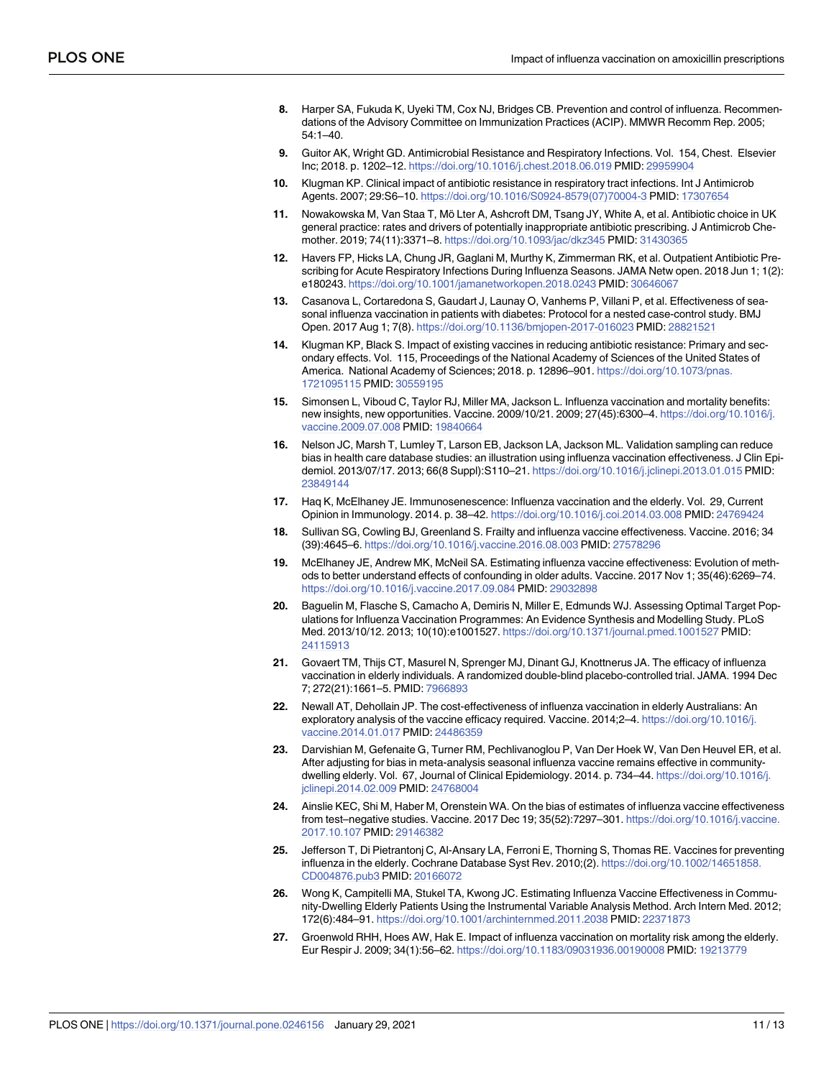- <span id="page-10-0"></span>**[8](#page-1-0).** Harper SA, Fukuda K, Uyeki TM, Cox NJ, Bridges CB. Prevention and control of influenza. Recommendations of the Advisory Committee on Immunization Practices (ACIP). MMWR Recomm Rep. 2005; 54:1–40.
- **[9](#page-1-0).** Guitor AK, Wright GD. Antimicrobial Resistance and Respiratory Infections. Vol. 154, Chest. Elsevier Inc; 2018. p. 1202–12. <https://doi.org/10.1016/j.chest.2018.06.019> PMID: [29959904](http://www.ncbi.nlm.nih.gov/pubmed/29959904)
- **10.** Klugman KP. Clinical impact of antibiotic resistance in respiratory tract infections. Int J Antimicrob Agents. 2007; 29:S6–10. [https://doi.org/10.1016/S0924-8579\(07\)70004-3](https://doi.org/10.1016/S0924-8579%2807%2970004-3) PMID: [17307654](http://www.ncbi.nlm.nih.gov/pubmed/17307654)
- **[11](#page-2-0).** Nowakowska M, Van Staa T, Mö Lter A, Ashcroft DM, Tsang JY, White A, et al. Antibiotic choice in UK general practice: rates and drivers of potentially inappropriate antibiotic prescribing. J Antimicrob Chemother. 2019; 74(11):3371–8. <https://doi.org/10.1093/jac/dkz345> PMID: [31430365](http://www.ncbi.nlm.nih.gov/pubmed/31430365)
- **[12](#page-1-0).** Havers FP, Hicks LA, Chung JR, Gaglani M, Murthy K, Zimmerman RK, et al. Outpatient Antibiotic Prescribing for Acute Respiratory Infections During Influenza Seasons. JAMA Netw open. 2018 Jun 1; 1(2): e180243. <https://doi.org/10.1001/jamanetworkopen.2018.0243> PMID: [30646067](http://www.ncbi.nlm.nih.gov/pubmed/30646067)
- **[13](#page-1-0).** Casanova L, Cortaredona S, Gaudart J, Launay O, Vanhems P, Villani P, et al. Effectiveness of seasonal influenza vaccination in patients with diabetes: Protocol for a nested case-control study. BMJ Open. 2017 Aug 1; 7(8). <https://doi.org/10.1136/bmjopen-2017-016023> PMID: [28821521](http://www.ncbi.nlm.nih.gov/pubmed/28821521)
- **[14](#page-1-0).** Klugman KP, Black S. Impact of existing vaccines in reducing antibiotic resistance: Primary and secondary effects. Vol. 115, Proceedings of the National Academy of Sciences of the United States of America. National Academy of Sciences; 2018. p. 12896–901. [https://doi.org/10.1073/pnas.](https://doi.org/10.1073/pnas.1721095115) [1721095115](https://doi.org/10.1073/pnas.1721095115) PMID: [30559195](http://www.ncbi.nlm.nih.gov/pubmed/30559195)
- **[15](#page-1-0).** Simonsen L, Viboud C, Taylor RJ, Miller MA, Jackson L. Influenza vaccination and mortality benefits: new insights, new opportunities. Vaccine. 2009/10/21. 2009; 27(45):6300–4. [https://doi.org/10.1016/j.](https://doi.org/10.1016/j.vaccine.2009.07.008) [vaccine.2009.07.008](https://doi.org/10.1016/j.vaccine.2009.07.008) PMID: [19840664](http://www.ncbi.nlm.nih.gov/pubmed/19840664)
- **[16](#page-1-0).** Nelson JC, Marsh T, Lumley T, Larson EB, Jackson LA, Jackson ML. Validation sampling can reduce bias in health care database studies: an illustration using influenza vaccination effectiveness. J Clin Epidemiol. 2013/07/17. 2013; 66(8 Suppl):S110–21. <https://doi.org/10.1016/j.jclinepi.2013.01.015> PMID: [23849144](http://www.ncbi.nlm.nih.gov/pubmed/23849144)
- **[17](#page-1-0).** Haq K, McElhaney JE. Immunosenescence: Influenza vaccination and the elderly. Vol. 29, Current Opinion in Immunology. 2014. p. 38–42. <https://doi.org/10.1016/j.coi.2014.03.008> PMID: [24769424](http://www.ncbi.nlm.nih.gov/pubmed/24769424)
- **[18](#page-1-0).** Sullivan SG, Cowling BJ, Greenland S. Frailty and influenza vaccine effectiveness. Vaccine. 2016; 34 (39):4645–6. <https://doi.org/10.1016/j.vaccine.2016.08.003> PMID: [27578296](http://www.ncbi.nlm.nih.gov/pubmed/27578296)
- **[19](#page-1-0).** McElhaney JE, Andrew MK, McNeil SA. Estimating influenza vaccine effectiveness: Evolution of methods to better understand effects of confounding in older adults. Vaccine. 2017 Nov 1; 35(46):6269–74. <https://doi.org/10.1016/j.vaccine.2017.09.084> PMID: [29032898](http://www.ncbi.nlm.nih.gov/pubmed/29032898)
- **[20](#page-1-0).** Baguelin M, Flasche S, Camacho A, Demiris N, Miller E, Edmunds WJ. Assessing Optimal Target Populations for Influenza Vaccination Programmes: An Evidence Synthesis and Modelling Study. PLoS Med. 2013/10/12. 2013; 10(10):e1001527. <https://doi.org/10.1371/journal.pmed.1001527> PMID: [24115913](http://www.ncbi.nlm.nih.gov/pubmed/24115913)
- **[21](#page-1-0).** Govaert TM, Thijs CT, Masurel N, Sprenger MJ, Dinant GJ, Knottnerus JA. The efficacy of influenza vaccination in elderly individuals. A randomized double-blind placebo-controlled trial. JAMA. 1994 Dec 7; 272(21):1661–5. PMID: [7966893](http://www.ncbi.nlm.nih.gov/pubmed/7966893)
- **[22](#page-1-0).** Newall AT, Dehollain JP. The cost-effectiveness of influenza vaccination in elderly Australians: An exploratory analysis of the vaccine efficacy required. Vaccine. 2014;2–4. [https://doi.org/10.1016/j.](https://doi.org/10.1016/j.vaccine.2014.01.017) [vaccine.2014.01.017](https://doi.org/10.1016/j.vaccine.2014.01.017) PMID: [24486359](http://www.ncbi.nlm.nih.gov/pubmed/24486359)
- **[23](#page-1-0).** Darvishian M, Gefenaite G, Turner RM, Pechlivanoglou P, Van Der Hoek W, Van Den Heuvel ER, et al. After adjusting for bias in meta-analysis seasonal influenza vaccine remains effective in communitydwelling elderly. Vol. 67, Journal of Clinical Epidemiology. 2014. p. 734–44. [https://doi.org/10.1016/j.](https://doi.org/10.1016/j.jclinepi.2014.02.009) [jclinepi.2014.02.009](https://doi.org/10.1016/j.jclinepi.2014.02.009) PMID: [24768004](http://www.ncbi.nlm.nih.gov/pubmed/24768004)
- **24.** Ainslie KEC, Shi M, Haber M, Orenstein WA. On the bias of estimates of influenza vaccine effectiveness from test–negative studies. Vaccine. 2017 Dec 19; 35(52):7297–301. [https://doi.org/10.1016/j.vaccine.](https://doi.org/10.1016/j.vaccine.2017.10.107) [2017.10.107](https://doi.org/10.1016/j.vaccine.2017.10.107) PMID: [29146382](http://www.ncbi.nlm.nih.gov/pubmed/29146382)
- **[25](#page-1-0).** Jefferson T, Di Pietrantonj C, Al-Ansary LA, Ferroni E, Thorning S, Thomas RE. Vaccines for preventing influenza in the elderly. Cochrane Database Syst Rev. 2010;(2). [https://doi.org/10.1002/14651858.](https://doi.org/10.1002/14651858.CD004876.pub3) [CD004876.pub3](https://doi.org/10.1002/14651858.CD004876.pub3) PMID: [20166072](http://www.ncbi.nlm.nih.gov/pubmed/20166072)
- **[26](#page-1-0).** Wong K, Campitelli MA, Stukel TA, Kwong JC. Estimating Influenza Vaccine Effectiveness in Community-Dwelling Elderly Patients Using the Instrumental Variable Analysis Method. Arch Intern Med. 2012; 172(6):484–91. <https://doi.org/10.1001/archinternmed.2011.2038> PMID: [22371873](http://www.ncbi.nlm.nih.gov/pubmed/22371873)
- **[27](#page-1-0).** Groenwold RHH, Hoes AW, Hak E. Impact of influenza vaccination on mortality risk among the elderly. Eur Respir J. 2009; 34(1):56–62. <https://doi.org/10.1183/09031936.00190008> PMID: [19213779](http://www.ncbi.nlm.nih.gov/pubmed/19213779)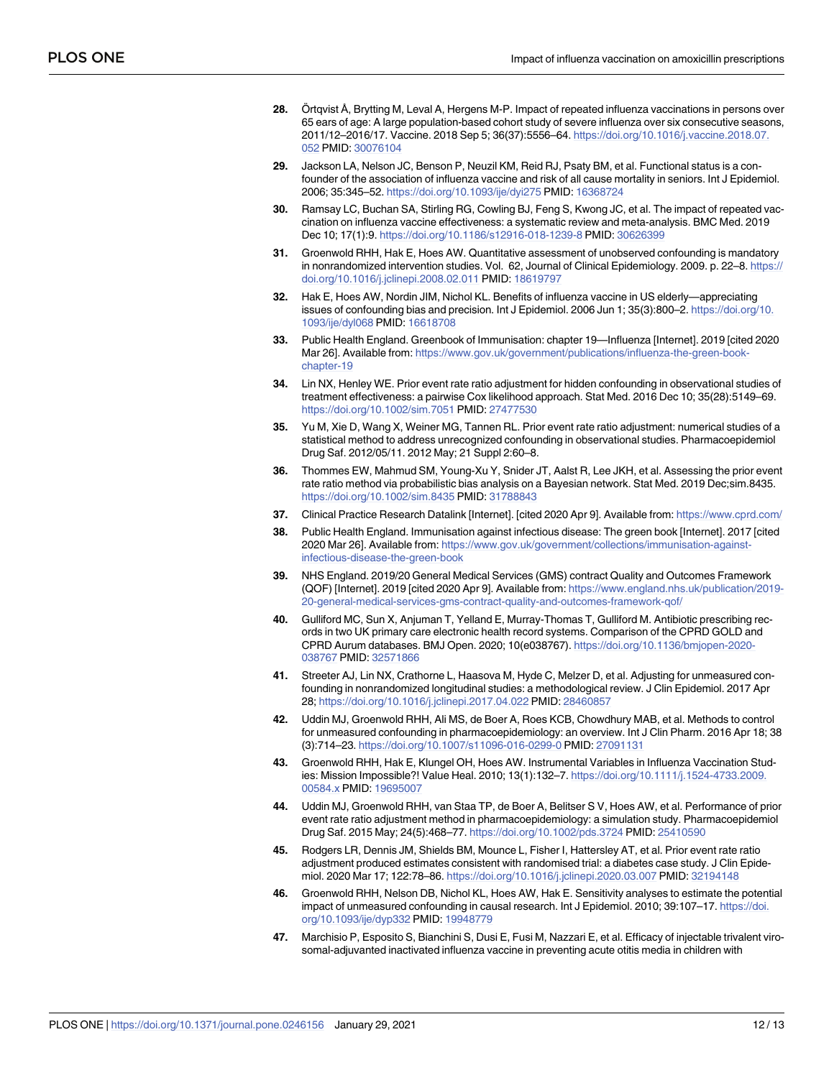- <span id="page-11-0"></span>**[28](#page-1-0).** Ortqvist Å, Brytting M, Leval A, Hergens M-P. Impact of repeated influenza vaccinations in persons over 65 ears of age: A large population-based cohort study of severe influenza over six consecutive seasons, 2011/12–2016/17. Vaccine. 2018 Sep 5; 36(37):5556–64. [https://doi.org/10.1016/j.vaccine.2018.07.](https://doi.org/10.1016/j.vaccine.2018.07.052) [052](https://doi.org/10.1016/j.vaccine.2018.07.052) PMID: [30076104](http://www.ncbi.nlm.nih.gov/pubmed/30076104)
- **[29](#page-1-0).** Jackson LA, Nelson JC, Benson P, Neuzil KM, Reid RJ, Psaty BM, et al. Functional status is a confounder of the association of influenza vaccine and risk of all cause mortality in seniors. Int J Epidemiol. 2006; 35:345–52. <https://doi.org/10.1093/ije/dyi275> PMID: [16368724](http://www.ncbi.nlm.nih.gov/pubmed/16368724)
- **[30](#page-1-0).** Ramsay LC, Buchan SA, Stirling RG, Cowling BJ, Feng S, Kwong JC, et al. The impact of repeated vaccination on influenza vaccine effectiveness: a systematic review and meta-analysis. BMC Med. 2019 Dec 10; 17(1):9. <https://doi.org/10.1186/s12916-018-1239-8> PMID: [30626399](http://www.ncbi.nlm.nih.gov/pubmed/30626399)
- **[31](#page-1-0).** Groenwold RHH, Hak E, Hoes AW. Quantitative assessment of unobserved confounding is mandatory in nonrandomized intervention studies. Vol. 62, Journal of Clinical Epidemiology. 2009. p. 22–8. [https://](https://doi.org/10.1016/j.jclinepi.2008.02.011) [doi.org/10.1016/j.jclinepi.2008.02.011](https://doi.org/10.1016/j.jclinepi.2008.02.011) PMID: [18619797](http://www.ncbi.nlm.nih.gov/pubmed/18619797)
- **[32](#page-1-0).** Hak E, Hoes AW, Nordin JIM, Nichol KL. Benefits of influenza vaccine in US elderly—appreciating issues of confounding bias and precision. Int J Epidemiol. 2006 Jun 1; 35(3):800–2. [https://doi.org/10.](https://doi.org/10.1093/ije/dyl068) [1093/ije/dyl068](https://doi.org/10.1093/ije/dyl068) PMID: [16618708](http://www.ncbi.nlm.nih.gov/pubmed/16618708)
- **[33](#page-1-0).** Public Health England. Greenbook of Immunisation: chapter 19—Influenza [Internet]. 2019 [cited 2020 Mar 26]. Available from: [https://www.gov.uk/government/publications/influenza-the-green-book](https://www.gov.uk/government/publications/influenza-the-green-book-chapter-19)[chapter-19](https://www.gov.uk/government/publications/influenza-the-green-book-chapter-19)
- **[34](#page-2-0).** Lin NX, Henley WE. Prior event rate ratio adjustment for hidden confounding in observational studies of treatment effectiveness: a pairwise Cox likelihood approach. Stat Med. 2016 Dec 10; 35(28):5149–69. <https://doi.org/10.1002/sim.7051> PMID: [27477530](http://www.ncbi.nlm.nih.gov/pubmed/27477530)
- **[35](#page-2-0).** Yu M, Xie D, Wang X, Weiner MG, Tannen RL. Prior event rate ratio adjustment: numerical studies of a statistical method to address unrecognized confounding in observational studies. Pharmacoepidemiol Drug Saf. 2012/05/11. 2012 May; 21 Suppl 2:60–8.
- **[36](#page-2-0).** Thommes EW, Mahmud SM, Young-Xu Y, Snider JT, Aalst R, Lee JKH, et al. Assessing the prior event rate ratio method via probabilistic bias analysis on a Bayesian network. Stat Med. 2019 Dec;sim.8435. <https://doi.org/10.1002/sim.8435> PMID: [31788843](http://www.ncbi.nlm.nih.gov/pubmed/31788843)
- **[37](#page-2-0).** Clinical Practice Research Datalink [Internet]. [cited 2020 Apr 9]. Available from: <https://www.cprd.com/>
- **[38](#page-2-0).** Public Health England. Immunisation against infectious disease: The green book [Internet]. 2017 [cited 2020 Mar 26]. Available from: [https://www.gov.uk/government/collections/immunisation-against](https://www.gov.uk/government/collections/immunisation-against-infectious-disease-the-green-book)[infectious-disease-the-green-book](https://www.gov.uk/government/collections/immunisation-against-infectious-disease-the-green-book)
- **[39](#page-2-0).** NHS England. 2019/20 General Medical Services (GMS) contract Quality and Outcomes Framework (QOF) [Internet]. 2019 [cited 2020 Apr 9]. Available from: [https://www.england.nhs.uk/publication/2019-](https://www.england.nhs.uk/publication/2019-20-general-medical-services-gms-contract-quality-and-outcomes-framework-qof/) [20-general-medical-services-gms-contract-quality-and-outcomes-framework-qof/](https://www.england.nhs.uk/publication/2019-20-general-medical-services-gms-contract-quality-and-outcomes-framework-qof/)
- **[40](#page-2-0).** Gulliford MC, Sun X, Anjuman T, Yelland E, Murray-Thomas T, Gulliford M. Antibiotic prescribing records in two UK primary care electronic health record systems. Comparison of the CPRD GOLD and CPRD Aurum databases. BMJ Open. 2020; 10(e038767). [https://doi.org/10.1136/bmjopen-2020-](https://doi.org/10.1136/bmjopen-2020-038767) [038767](https://doi.org/10.1136/bmjopen-2020-038767) PMID: [32571866](http://www.ncbi.nlm.nih.gov/pubmed/32571866)
- **[41](#page-4-0).** Streeter AJ, Lin NX, Crathorne L, Haasova M, Hyde C, Melzer D, et al. Adjusting for unmeasured confounding in nonrandomized longitudinal studies: a methodological review. J Clin Epidemiol. 2017 Apr 28; <https://doi.org/10.1016/j.jclinepi.2017.04.022> PMID: [28460857](http://www.ncbi.nlm.nih.gov/pubmed/28460857)
- **[42](#page-4-0).** Uddin MJ, Groenwold RHH, Ali MS, de Boer A, Roes KCB, Chowdhury MAB, et al. Methods to control for unmeasured confounding in pharmacoepidemiology: an overview. Int J Clin Pharm. 2016 Apr 18; 38 (3):714–23. <https://doi.org/10.1007/s11096-016-0299-0> PMID: [27091131](http://www.ncbi.nlm.nih.gov/pubmed/27091131)
- **[43](#page-4-0).** Groenwold RHH, Hak E, Klungel OH, Hoes AW. Instrumental Variables in Influenza Vaccination Studies: Mission Impossible?! Value Heal. 2010; 13(1):132–7. [https://doi.org/10.1111/j.1524-4733.2009.](https://doi.org/10.1111/j.1524-4733.2009.00584.x) [00584.x](https://doi.org/10.1111/j.1524-4733.2009.00584.x) PMID: [19695007](http://www.ncbi.nlm.nih.gov/pubmed/19695007)
- **[44](#page-4-0).** Uddin MJ, Groenwold RHH, van Staa TP, de Boer A, Belitser S V, Hoes AW, et al. Performance of prior event rate ratio adjustment method in pharmacoepidemiology: a simulation study. Pharmacoepidemiol Drug Saf. 2015 May; 24(5):468–77. <https://doi.org/10.1002/pds.3724> PMID: [25410590](http://www.ncbi.nlm.nih.gov/pubmed/25410590)
- **[45](#page-4-0).** Rodgers LR, Dennis JM, Shields BM, Mounce L, Fisher I, Hattersley AT, et al. Prior event rate ratio adjustment produced estimates consistent with randomised trial: a diabetes case study. J Clin Epidemiol. 2020 Mar 17; 122:78–86. <https://doi.org/10.1016/j.jclinepi.2020.03.007> PMID: [32194148](http://www.ncbi.nlm.nih.gov/pubmed/32194148)
- **[46](#page-4-0).** Groenwold RHH, Nelson DB, Nichol KL, Hoes AW, Hak E. Sensitivity analyses to estimate the potential impact of unmeasured confounding in causal research. Int J Epidemiol. 2010; 39:107–17. [https://doi.](https://doi.org/10.1093/ije/dyp332) [org/10.1093/ije/dyp332](https://doi.org/10.1093/ije/dyp332) PMID: [19948779](http://www.ncbi.nlm.nih.gov/pubmed/19948779)
- **[47](#page-7-0).** Marchisio P, Esposito S, Bianchini S, Dusi E, Fusi M, Nazzari E, et al. Efficacy of injectable trivalent virosomal-adjuvanted inactivated influenza vaccine in preventing acute otitis media in children with